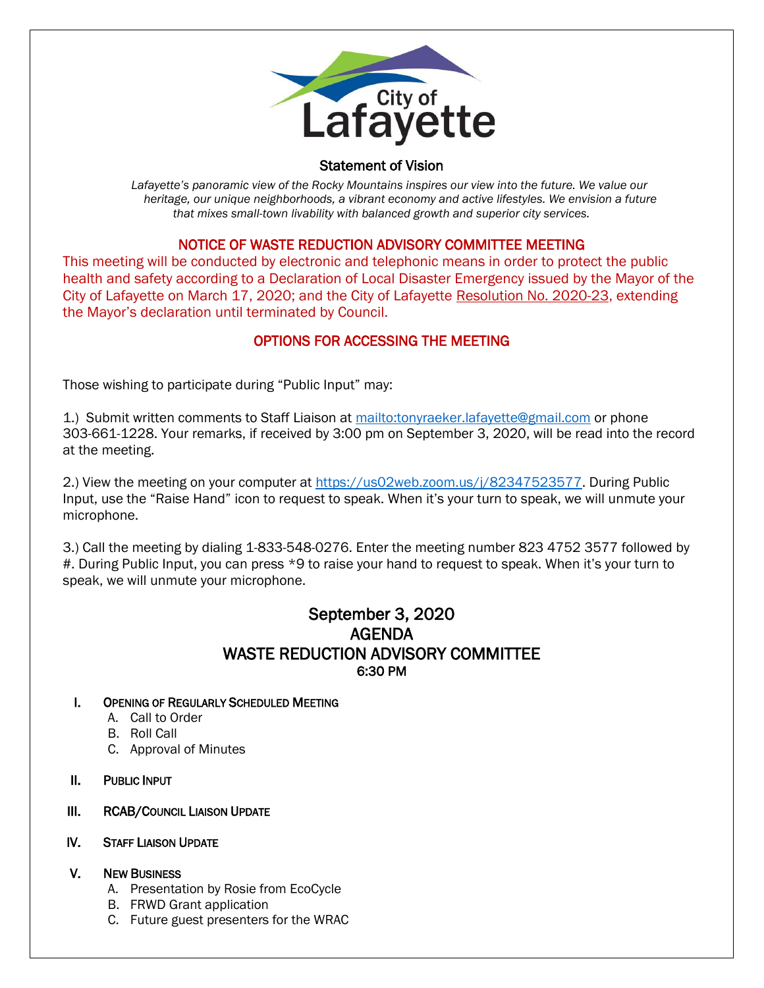

## Statement of Vision

Lafayette's panoramic view of the Rocky Mountains inspires our view into the future. We value our  *heritage, our unique neighborhoods, a vibrant economy and active lifestyles. We envision a future that mixes small-town livability with balanced growth and superior city services.*

## NOTICE OF WASTE REDUCTION ADVISORY COMMITTEE MEETING

This meeting will be conducted by electronic and telephonic means in order to protect the public health and safety according to a Declaration of Local Disaster Emergency issued by the Mayor of the City of Lafayette on March 17, 2020; and the City of Lafayette Resolution No. 2020-23, extending the Mayor's declaration until terminated by Council.

# OPTIONS FOR ACCESSING THE MEETING

Those wishing to participate during "Public Input" may:

1.) Submit written comments to Staff Liaison at<mailto:tonyraeker.lafayette@gmail.com> or phone 303-661-1228. Your remarks, if received by 3:00 pm on September 3, 2020, will be read into the record at the meeting.

2.) View the meeting on your computer at [https://us02web.zoom.us/j/82347523577.](https://us02web.zoom.us/j/82347523577) During Public Input, use the "Raise Hand" icon to request to speak. When it's your turn to speak, we will unmute your microphone.

3.) Call the meeting by dialing 1-833-548-0276. Enter the meeting number 823 4752 3577 followed by #. During Public Input, you can press \*9 to raise your hand to request to speak. When it's your turn to speak, we will unmute your microphone.

# September 3, 2020 AGENDA WASTE REDUCTION ADVISORY COMMITTEE 6:30 PM

### I. OPENING OF REGULARLY SCHEDULED MEETING

- A. Call to Order
- B. Roll Call
- C. Approval of Minutes
- II. PUBLIC INPUT
- III. RCAB/COUNCIL LIAISON UPDATE
- IV. STAFF LIAISON UPDATE

## V. NEW BUSINESS

- A. Presentation by Rosie from EcoCycle
- B. FRWD Grant application
- C. Future guest presenters for the WRAC